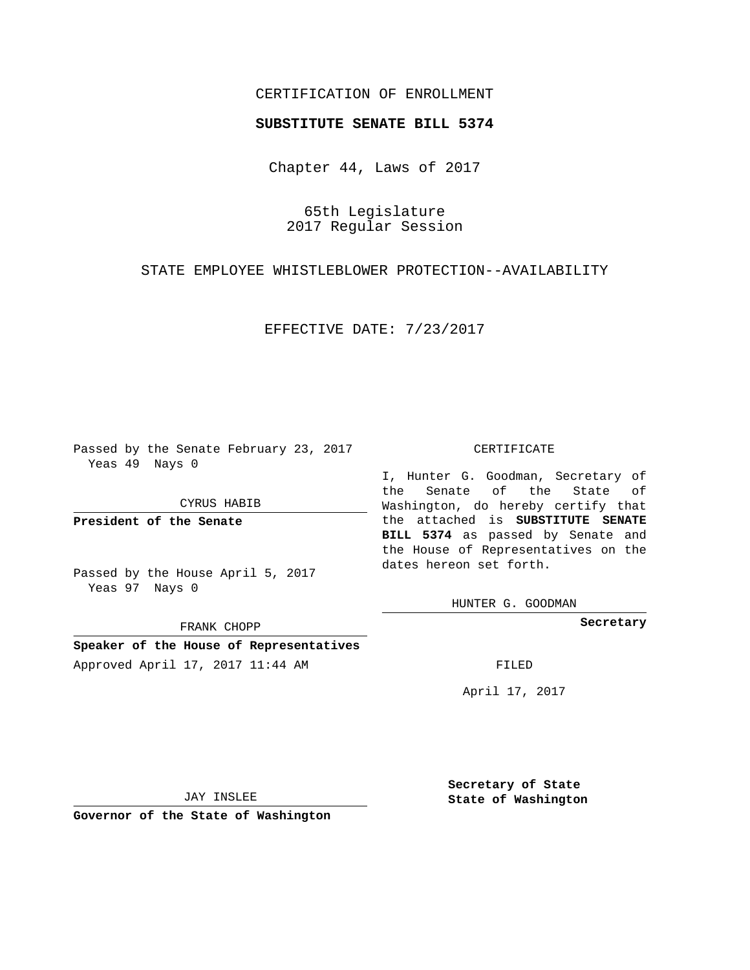## CERTIFICATION OF ENROLLMENT

## **SUBSTITUTE SENATE BILL 5374**

Chapter 44, Laws of 2017

65th Legislature 2017 Regular Session

STATE EMPLOYEE WHISTLEBLOWER PROTECTION--AVAILABILITY

EFFECTIVE DATE: 7/23/2017

Passed by the Senate February 23, 2017 Yeas 49 Nays 0

CYRUS HABIB

**President of the Senate**

Passed by the House April 5, 2017 Yeas 97 Nays 0

FRANK CHOPP

**Speaker of the House of Representatives** Approved April 17, 2017 11:44 AM FILED

## CERTIFICATE

I, Hunter G. Goodman, Secretary of the Senate of the State of Washington, do hereby certify that the attached is **SUBSTITUTE SENATE BILL 5374** as passed by Senate and the House of Representatives on the dates hereon set forth.

HUNTER G. GOODMAN

**Secretary**

April 17, 2017

JAY INSLEE

**Governor of the State of Washington**

**Secretary of State State of Washington**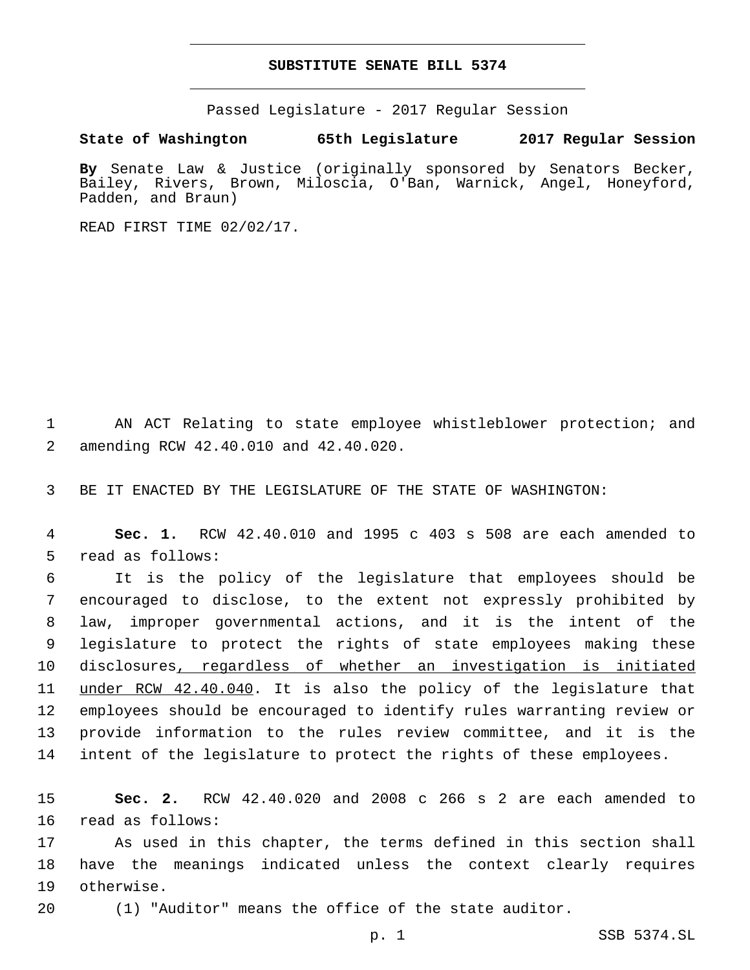## **SUBSTITUTE SENATE BILL 5374**

Passed Legislature - 2017 Regular Session

**State of Washington 65th Legislature 2017 Regular Session**

**By** Senate Law & Justice (originally sponsored by Senators Becker, Bailey, Rivers, Brown, Miloscia, O'Ban, Warnick, Angel, Honeyford, Padden, and Braun)

READ FIRST TIME 02/02/17.

1 AN ACT Relating to state employee whistleblower protection; and amending RCW 42.40.010 and 42.40.020.2

3 BE IT ENACTED BY THE LEGISLATURE OF THE STATE OF WASHINGTON:

4 **Sec. 1.** RCW 42.40.010 and 1995 c 403 s 508 are each amended to 5 read as follows:

 It is the policy of the legislature that employees should be encouraged to disclose, to the extent not expressly prohibited by law, improper governmental actions, and it is the intent of the legislature to protect the rights of state employees making these disclosures, regardless of whether an investigation is initiated 11 under RCW 42.40.040. It is also the policy of the legislature that employees should be encouraged to identify rules warranting review or provide information to the rules review committee, and it is the intent of the legislature to protect the rights of these employees.

15 **Sec. 2.** RCW 42.40.020 and 2008 c 266 s 2 are each amended to 16 read as follows:

17 As used in this chapter, the terms defined in this section shall 18 have the meanings indicated unless the context clearly requires 19 otherwise.

20 (1) "Auditor" means the office of the state auditor.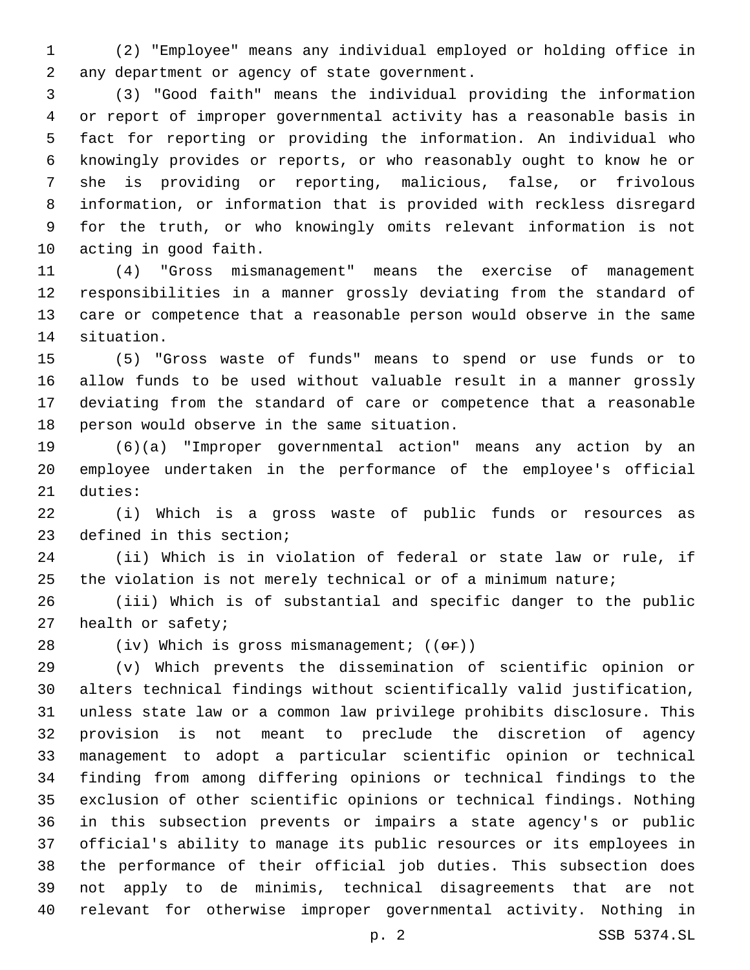(2) "Employee" means any individual employed or holding office in 2 any department or agency of state government.

 (3) "Good faith" means the individual providing the information or report of improper governmental activity has a reasonable basis in fact for reporting or providing the information. An individual who knowingly provides or reports, or who reasonably ought to know he or she is providing or reporting, malicious, false, or frivolous information, or information that is provided with reckless disregard for the truth, or who knowingly omits relevant information is not 10 acting in good faith.

 (4) "Gross mismanagement" means the exercise of management responsibilities in a manner grossly deviating from the standard of care or competence that a reasonable person would observe in the same 14 situation.

 (5) "Gross waste of funds" means to spend or use funds or to allow funds to be used without valuable result in a manner grossly deviating from the standard of care or competence that a reasonable 18 person would observe in the same situation.

 (6)(a) "Improper governmental action" means any action by an employee undertaken in the performance of the employee's official 21 duties:

 (i) Which is a gross waste of public funds or resources as 23 defined in this section;

 (ii) Which is in violation of federal or state law or rule, if the violation is not merely technical or of a minimum nature;

 (iii) Which is of substantial and specific danger to the public 27 health or safety;

28 (iv) Which is gross mismanagement;  $((\theta \cdot \hat{r}))$ 

 (v) Which prevents the dissemination of scientific opinion or alters technical findings without scientifically valid justification, unless state law or a common law privilege prohibits disclosure. This provision is not meant to preclude the discretion of agency management to adopt a particular scientific opinion or technical finding from among differing opinions or technical findings to the exclusion of other scientific opinions or technical findings. Nothing in this subsection prevents or impairs a state agency's or public official's ability to manage its public resources or its employees in the performance of their official job duties. This subsection does not apply to de minimis, technical disagreements that are not relevant for otherwise improper governmental activity. Nothing in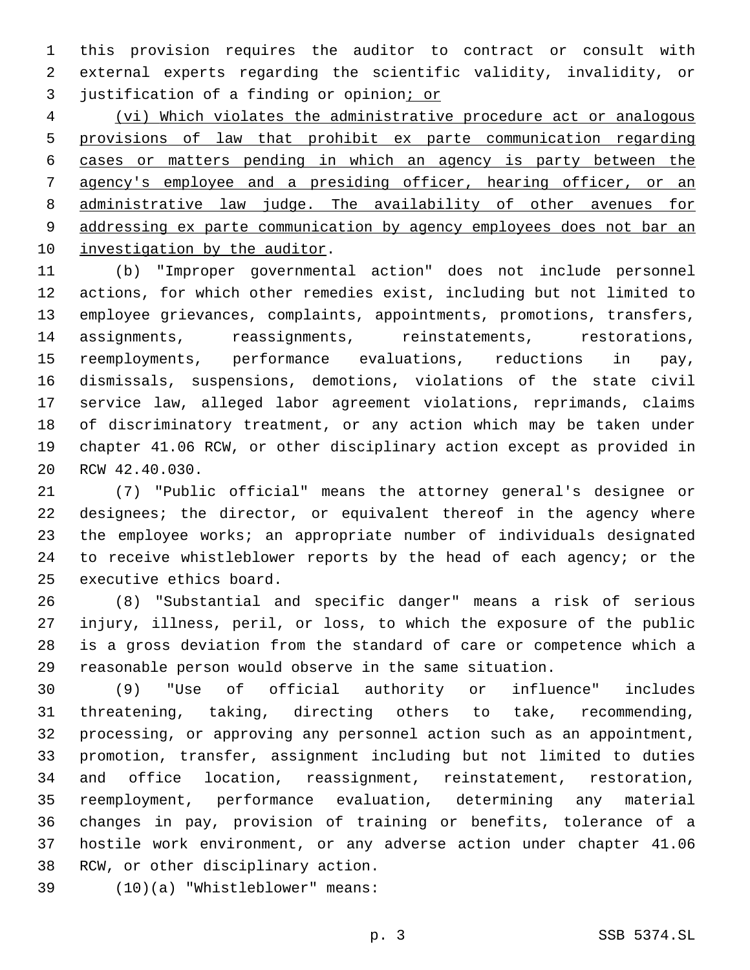this provision requires the auditor to contract or consult with external experts regarding the scientific validity, invalidity, or 3 justification of a finding or opinion; or

 (vi) Which violates the administrative procedure act or analogous provisions of law that prohibit ex parte communication regarding cases or matters pending in which an agency is party between the agency's employee and a presiding officer, hearing officer, or an administrative law judge. The availability of other avenues for addressing ex parte communication by agency employees does not bar an 10 investigation by the auditor.

 (b) "Improper governmental action" does not include personnel actions, for which other remedies exist, including but not limited to employee grievances, complaints, appointments, promotions, transfers, assignments, reassignments, reinstatements, restorations, reemployments, performance evaluations, reductions in pay, dismissals, suspensions, demotions, violations of the state civil service law, alleged labor agreement violations, reprimands, claims of discriminatory treatment, or any action which may be taken under chapter 41.06 RCW, or other disciplinary action except as provided in 20 RCW 42.40.030.

 (7) "Public official" means the attorney general's designee or designees; the director, or equivalent thereof in the agency where the employee works; an appropriate number of individuals designated 24 to receive whistleblower reports by the head of each agency; or the 25 executive ethics board.

 (8) "Substantial and specific danger" means a risk of serious injury, illness, peril, or loss, to which the exposure of the public is a gross deviation from the standard of care or competence which a reasonable person would observe in the same situation.

 (9) "Use of official authority or influence" includes threatening, taking, directing others to take, recommending, processing, or approving any personnel action such as an appointment, promotion, transfer, assignment including but not limited to duties and office location, reassignment, reinstatement, restoration, reemployment, performance evaluation, determining any material changes in pay, provision of training or benefits, tolerance of a hostile work environment, or any adverse action under chapter 41.06 38 RCW, or other disciplinary action.

(10)(a) "Whistleblower" means:39